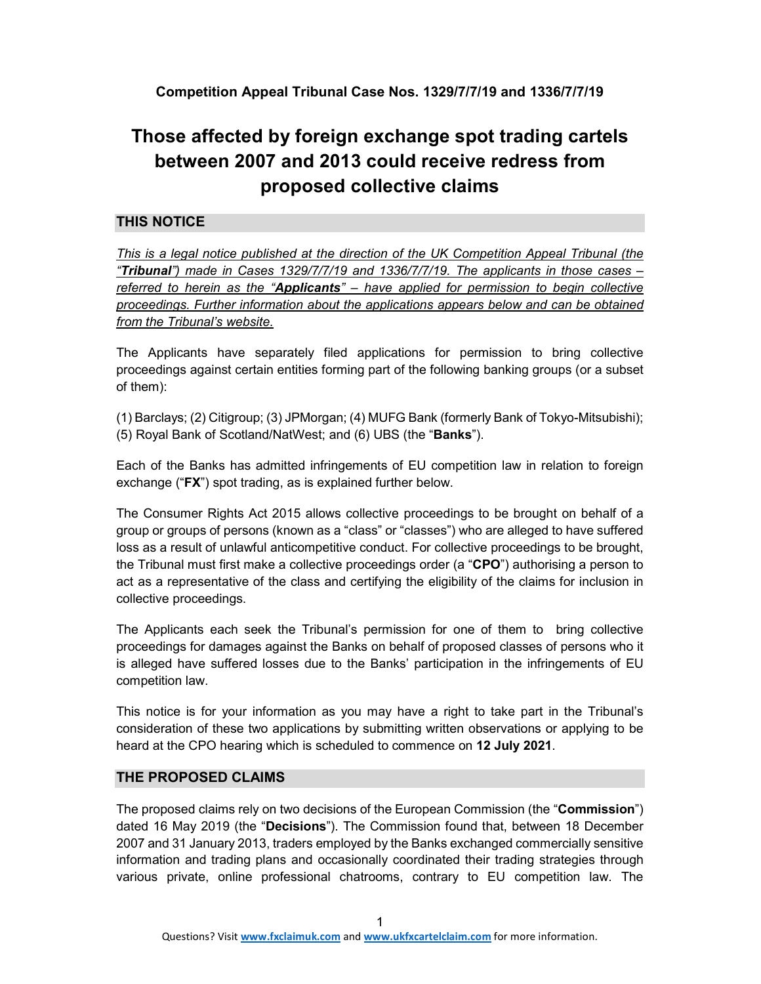# **Those affected by foreign exchange spot trading cartels between 2007 and 2013 could receive redress from proposed collective claims**

# **THIS NOTICE**

*This is a legal notice published at the direction of the UK Competition Appeal Tribunal (the "Tribunal") made in Cases 1329/7/7/19 and 1336/7/7/19. The applicants in those cases – referred to herein as the "Applicants" – have applied for permission to begin collective proceedings. Further information about the applications appears below and can be obtained from the Tribunal's website.* 

The Applicants have separately filed applications for permission to bring collective proceedings against certain entities forming part of the following banking groups (or a subset of them):

(1) Barclays; (2) Citigroup; (3) JPMorgan; (4) MUFG Bank (formerly Bank of Tokyo-Mitsubishi); (5) Royal Bank of Scotland/NatWest; and (6) UBS (the "**Banks**").

Each of the Banks has admitted infringements of EU competition law in relation to foreign exchange ("**FX**") spot trading, as is explained further below.

The Consumer Rights Act 2015 allows collective proceedings to be brought on behalf of a group or groups of persons (known as a "class" or "classes") who are alleged to have suffered loss as a result of unlawful anticompetitive conduct. For collective proceedings to be brought, the Tribunal must first make a collective proceedings order (a "**CPO**") authorising a person to act as a representative of the class and certifying the eligibility of the claims for inclusion in collective proceedings.

The Applicants each seek the Tribunal's permission for one of them to bring collective proceedings for damages against the Banks on behalf of proposed classes of persons who it is alleged have suffered losses due to the Banks' participation in the infringements of EU competition law.

This notice is for your information as you may have a right to take part in the Tribunal's consideration of these two applications by submitting written observations or applying to be heard at the CPO hearing which is scheduled to commence on **12 July 2021**.

### **THE PROPOSED CLAIMS**

The proposed claims rely on two decisions of the European Commission (the "**Commission**") dated 16 May 2019 (the "**Decisions**"). The Commission found that, between 18 December 2007 and 31 January 2013, traders employed by the Banks exchanged commercially sensitive information and trading plans and occasionally coordinated their trading strategies through various private, online professional chatrooms, contrary to EU competition law. The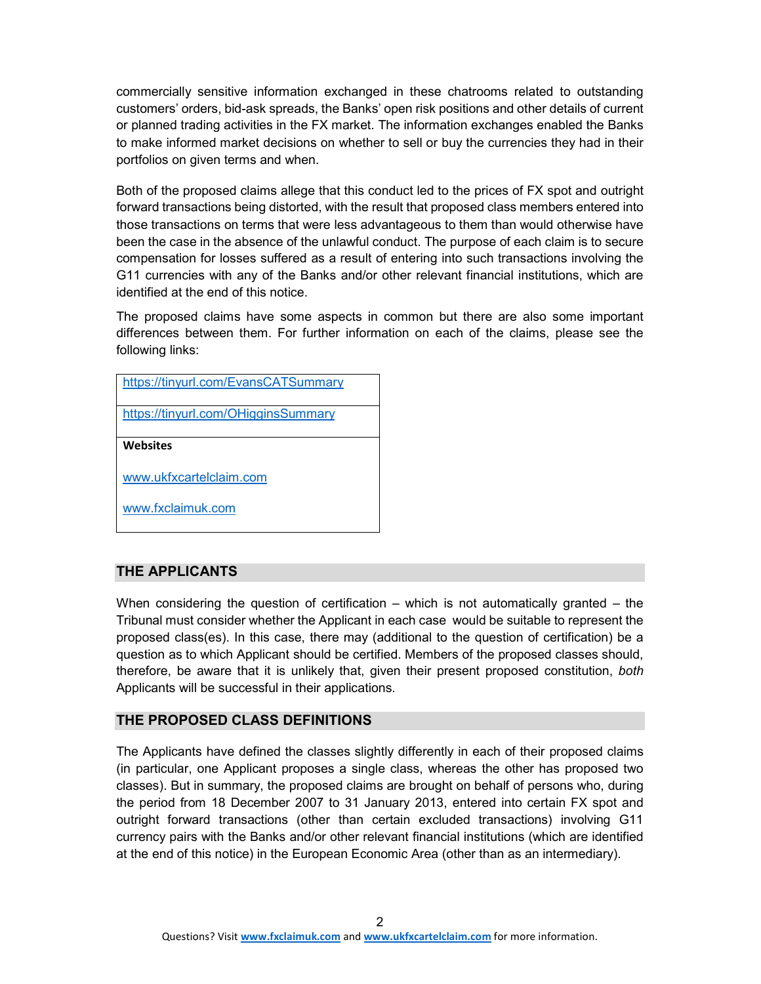commercially sensitive information exchanged in these chatrooms related to outstanding customers' orders, bid-ask spreads, the Banks' open risk positions and other details of current or planned trading activities in the FX market. The information exchanges enabled the Banks to make informed market decisions on whether to sell or buy the currencies they had in their portfolios on given terms and when.

Both of the proposed claims allege that this conduct led to the prices of FX spot and outright forward transactions being distorted, with the result that proposed class members entered into those transactions on terms that were less advantageous to them than would otherwise have been the case in the absence of the unlawful conduct. The purpose of each claim is to secure compensation for losses suffered as a result of entering into such transactions involving the G11 currencies with any of the Banks and/or other relevant financial institutions, which are identified at the end of this notice.

The proposed claims have some aspects in common but there are also some important differences between them. For further information on each of the claims, please see the following links:

| https://tinyurl.com/EvansCATSummary |
|-------------------------------------|
| https://tinyurl.com/OHigginsSummary |
| <b>Websites</b>                     |
| www.ukfxcartelclaim.com             |
| www.fxclaimuk.com                   |

### **THE APPLICANTS**

When considering the question of certification  $-$  which is not automatically granted  $-$  the Tribunal must consider whether the Applicant in each case would be suitable to represent the proposed class(es). In this case, there may (additional to the question of certification) be a question as to which Applicant should be certified. Members of the proposed classes should, therefore, be aware that it is unlikely that, given their present proposed constitution, *both* Applicants will be successful in their applications.

#### **THE PROPOSED CLASS DEFINITIONS**

The Applicants have defined the classes slightly differently in each of their proposed claims (in particular, one Applicant proposes a single class, whereas the other has proposed two classes). But in summary, the proposed claims are brought on behalf of persons who, during the period from 18 December 2007 to 31 January 2013, entered into certain FX spot and outright forward transactions (other than certain excluded transactions) involving G11 currency pairs with the Banks and/or other relevant financial institutions (which are identified at the end of this notice) in the European Economic Area (other than as an intermediary).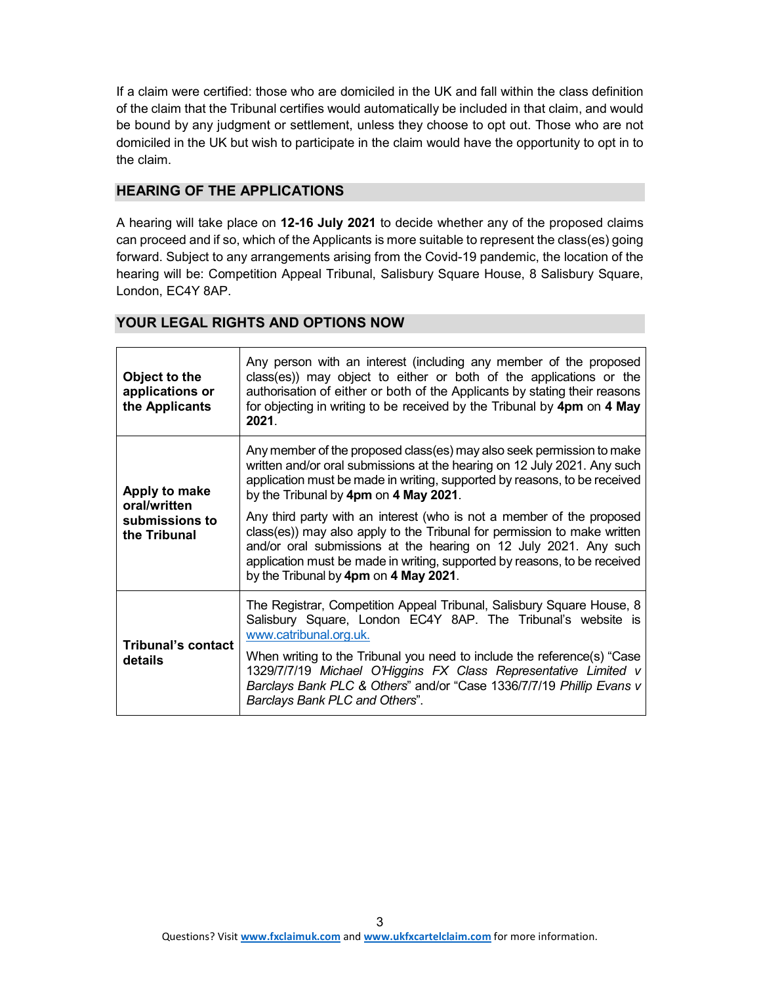If a claim were certified: those who are domiciled in the UK and fall within the class definition of the claim that the Tribunal certifies would automatically be included in that claim, and would be bound by any judgment or settlement, unless they choose to opt out. Those who are not domiciled in the UK but wish to participate in the claim would have the opportunity to opt in to the claim.

#### **HEARING OF THE APPLICATIONS**

A hearing will take place on **12-16 July 2021** to decide whether any of the proposed claims can proceed and if so, which of the Applicants is more suitable to represent the class(es) going forward. Subject to any arrangements arising from the Covid-19 pandemic, the location of the hearing will be: Competition Appeal Tribunal, Salisbury Square House, 8 Salisbury Square, London, EC4Y 8AP.

| <b>YOUR LEGAL RIGHTS AND OPTIONS NOW</b> |  |  |
|------------------------------------------|--|--|
|                                          |  |  |

| Object to the<br>applications or<br>the Applicants | Any person with an interest (including any member of the proposed<br>class(es)) may object to either or both of the applications or the<br>authorisation of either or both of the Applicants by stating their reasons<br>for objecting in writing to be received by the Tribunal by 4pm on 4 May<br>2021.                                   |
|----------------------------------------------------|---------------------------------------------------------------------------------------------------------------------------------------------------------------------------------------------------------------------------------------------------------------------------------------------------------------------------------------------|
| Apply to make<br>oral/written                      | Any member of the proposed class(es) may also seek permission to make<br>written and/or oral submissions at the hearing on 12 July 2021. Any such<br>application must be made in writing, supported by reasons, to be received<br>by the Tribunal by 4pm on 4 May 2021.                                                                     |
| submissions to<br>the Tribunal                     | Any third party with an interest (who is not a member of the proposed<br>class(es)) may also apply to the Tribunal for permission to make written<br>and/or oral submissions at the hearing on 12 July 2021. Any such<br>application must be made in writing, supported by reasons, to be received<br>by the Tribunal by 4pm on 4 May 2021. |
| <b>Tribunal's contact</b><br>details               | The Registrar, Competition Appeal Tribunal, Salisbury Square House, 8<br>Salisbury Square, London EC4Y 8AP. The Tribunal's website is<br>www.catribunal.org.uk.                                                                                                                                                                             |
|                                                    | When writing to the Tribunal you need to include the reference(s) "Case<br>1329/7/7/19 Michael O'Higgins FX Class Representative Limited v<br>Barclays Bank PLC & Others" and/or "Case 1336/7/7/19 Phillip Evans v<br>Barclays Bank PLC and Others".                                                                                        |